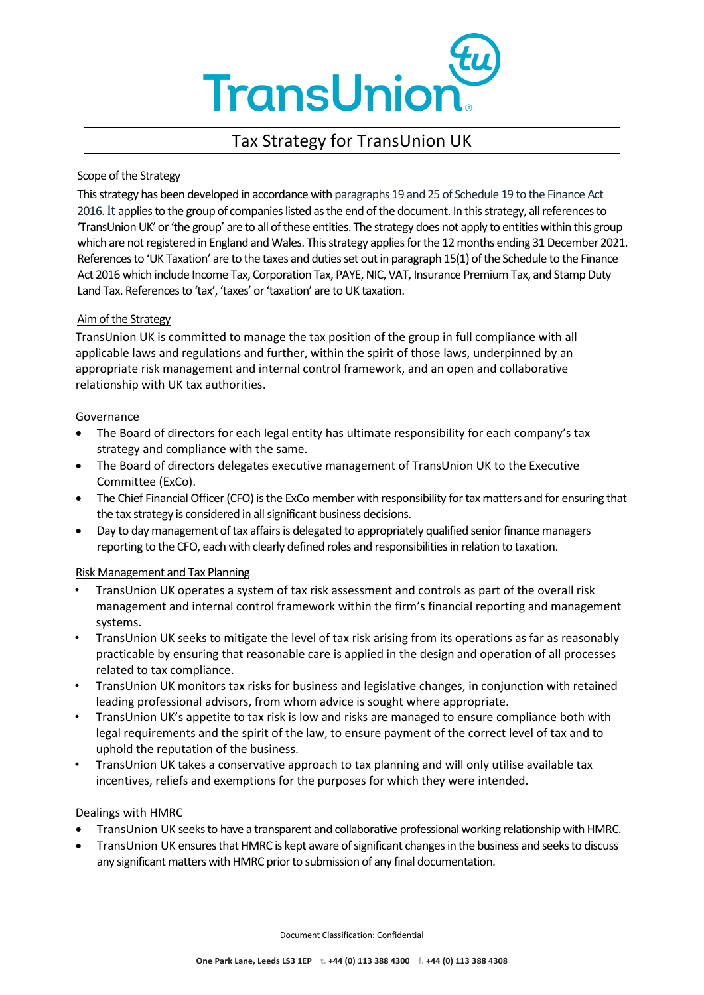

# Tax Strategy for TransUnion UK

### Scope of the Strategy

This strategy has been developed in accordance with paragraphs 19 and 25 of Schedule 19 to the Finance Act 2016.It applies to the group of companies listed as the end of the document. In this strategy, all references to 'TransUnion UK' or 'the group' are to all of these entities. The strategy does not apply to entities within this group which are not registered in England and Wales. This strategy applies for the 12 months ending 31 December 2021. References to 'UK Taxation' are to the taxes and duties set out in paragraph 15(1) of the Schedule to the Finance Act 2016 which include Income Tax, Corporation Tax, PAYE, NIC, VAT, Insurance Premium Tax, and Stamp Duty Land Tax. References to 'tax', 'taxes' or 'taxation' are to UK taxation.

#### Aim of the Strategy

TransUnion UK is committed to manage the tax position of the group in full compliance with all applicable laws and regulations and further, within the spirit of those laws, underpinned by an appropriate risk management and internal control framework, and an open and collaborative relationship with UK tax authorities.

#### Governance

- The Board of directors for each legal entity has ultimate responsibility for each company's tax strategy and compliance with the same.
- The Board of directors delegates executive management of TransUnion UK to the Executive Committee (ExCo).
- The Chief Financial Officer (CFO) is the ExCo member with responsibility for tax matters and for ensuring that the tax strategy is considered in all significant business decisions.
- Day to day management of tax affairs is delegated to appropriately qualified senior finance managers reporting to the CFO, each with clearly defined roles and responsibilities in relation to taxation.

## Risk Management and Tax Planning

- TransUnion UK operates a system of tax risk assessment and controls as part of the overall risk management and internal control framework within the firm's financial reporting and management systems.
- TransUnion UK seeks to mitigate the level of tax risk arising from its operations as far as reasonably practicable by ensuring that reasonable care is applied in the design and operation of all processes related to tax compliance.
- TransUnion UK monitors tax risks for business and legislative changes, in conjunction with retained leading professional advisors, from whom advice is sought where appropriate.
- TransUnion UK's appetite to tax risk is low and risks are managed to ensure compliance both with legal requirements and the spirit of the law, to ensure payment of the correct level of tax and to uphold the reputation of the business.
- TransUnion UK takes a conservative approach to tax planning and will only utilise available tax incentives, reliefs and exemptions for the purposes for which they were intended.

## Dealings with HMRC

- TransUnion UK seeks to have a transparent and collaborative professional working relationship with HMRC.
- TransUnion UK ensures that HMRC is kept aware of significant changes in the business and seeks to discuss any significant matters with HMRC prior to submission of any final documentation.

Document Classification: Confidential